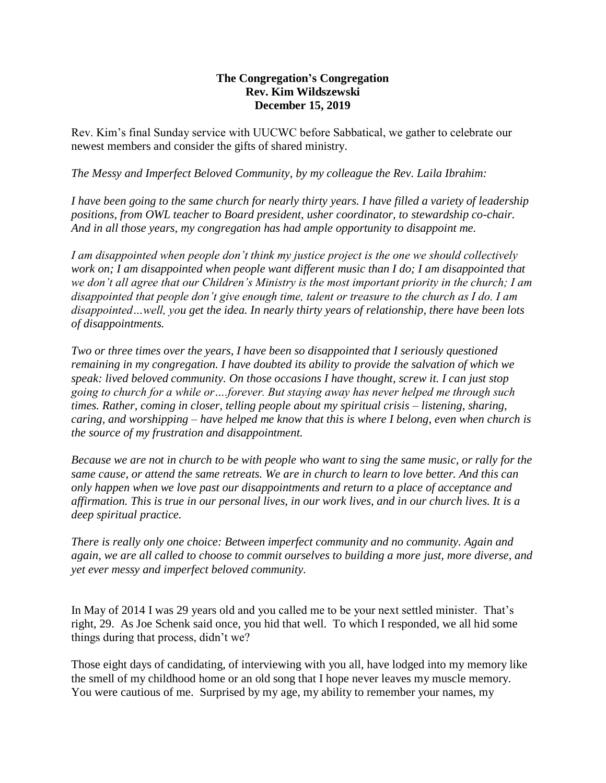## **The Congregation's Congregation Rev. Kim Wildszewski December 15, 2019**

Rev. Kim's final Sunday service with UUCWC before Sabbatical, we gather to celebrate our newest members and consider the gifts of shared ministry.

*The Messy and Imperfect Beloved Community, by my colleague the Rev. Laila Ibrahim:* 

*I have been going to the same church for nearly thirty years. I have filled a variety of leadership positions, from OWL teacher to Board president, usher coordinator, to stewardship co-chair. And in all those years, my congregation has had ample opportunity to disappoint me.*

*I am disappointed when people don't think my justice project is the one we should collectively work on; I am disappointed when people want different music than I do; I am disappointed that we don't all agree that our Children's Ministry is the most important priority in the church; I am disappointed that people don't give enough time, talent or treasure to the church as I do. I am disappointed…well, you get the idea. In nearly thirty years of relationship, there have been lots of disappointments.*

*Two or three times over the years, I have been so disappointed that I seriously questioned remaining in my congregation. I have doubted its ability to provide the salvation of which we speak: lived beloved community. On those occasions I have thought, screw it. I can just stop going to church for a while or….forever. But staying away has never helped me through such times. Rather, coming in closer, telling people about my spiritual crisis – listening, sharing, caring, and worshipping – have helped me know that this is where I belong, even when church is the source of my frustration and disappointment.*

*Because we are not in church to be with people who want to sing the same music, or rally for the same cause, or attend the same retreats. We are in church to learn to love better. And this can only happen when we love past our disappointments and return to a place of acceptance and affirmation. This is true in our personal lives, in our work lives, and in our church lives. It is a deep spiritual practice.*

*There is really only one choice: Between imperfect community and no community. Again and again, we are all called to choose to commit ourselves to building a more just, more diverse, and yet ever messy and imperfect beloved community.*

In May of 2014 I was 29 years old and you called me to be your next settled minister. That's right, 29. As Joe Schenk said once, you hid that well. To which I responded, we all hid some things during that process, didn't we?

Those eight days of candidating, of interviewing with you all, have lodged into my memory like the smell of my childhood home or an old song that I hope never leaves my muscle memory. You were cautious of me. Surprised by my age, my ability to remember your names, my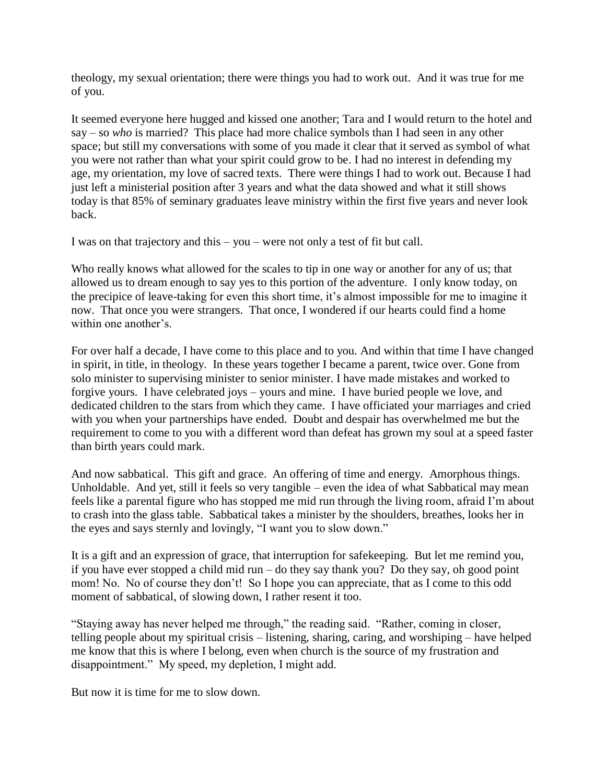theology, my sexual orientation; there were things you had to work out. And it was true for me of you.

It seemed everyone here hugged and kissed one another; Tara and I would return to the hotel and say – so *who* is married? This place had more chalice symbols than I had seen in any other space; but still my conversations with some of you made it clear that it served as symbol of what you were not rather than what your spirit could grow to be. I had no interest in defending my age, my orientation, my love of sacred texts. There were things I had to work out. Because I had just left a ministerial position after 3 years and what the data showed and what it still shows today is that 85% of seminary graduates leave ministry within the first five years and never look back.

I was on that trajectory and this – you – were not only a test of fit but call.

Who really knows what allowed for the scales to tip in one way or another for any of us; that allowed us to dream enough to say yes to this portion of the adventure. I only know today, on the precipice of leave-taking for even this short time, it's almost impossible for me to imagine it now. That once you were strangers. That once, I wondered if our hearts could find a home within one another's.

For over half a decade, I have come to this place and to you. And within that time I have changed in spirit, in title, in theology. In these years together I became a parent, twice over. Gone from solo minister to supervising minister to senior minister. I have made mistakes and worked to forgive yours. I have celebrated joys – yours and mine. I have buried people we love, and dedicated children to the stars from which they came. I have officiated your marriages and cried with you when your partnerships have ended. Doubt and despair has overwhelmed me but the requirement to come to you with a different word than defeat has grown my soul at a speed faster than birth years could mark.

And now sabbatical. This gift and grace. An offering of time and energy. Amorphous things. Unholdable. And yet, still it feels so very tangible – even the idea of what Sabbatical may mean feels like a parental figure who has stopped me mid run through the living room, afraid I'm about to crash into the glass table. Sabbatical takes a minister by the shoulders, breathes, looks her in the eyes and says sternly and lovingly, "I want you to slow down."

It is a gift and an expression of grace, that interruption for safekeeping. But let me remind you, if you have ever stopped a child mid run – do they say thank you? Do they say, oh good point mom! No. No of course they don't! So I hope you can appreciate, that as I come to this odd moment of sabbatical, of slowing down, I rather resent it too.

"Staying away has never helped me through," the reading said. "Rather, coming in closer, telling people about my spiritual crisis – listening, sharing, caring, and worshiping – have helped me know that this is where I belong, even when church is the source of my frustration and disappointment." My speed, my depletion, I might add.

But now it is time for me to slow down.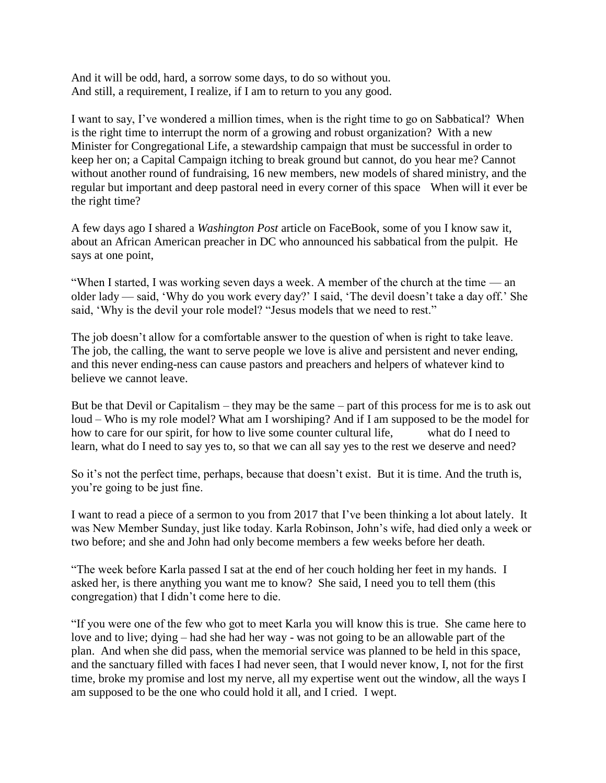And it will be odd, hard, a sorrow some days, to do so without you. And still, a requirement, I realize, if I am to return to you any good.

I want to say, I've wondered a million times, when is the right time to go on Sabbatical? When is the right time to interrupt the norm of a growing and robust organization? With a new Minister for Congregational Life, a stewardship campaign that must be successful in order to keep her on; a Capital Campaign itching to break ground but cannot, do you hear me? Cannot without another round of fundraising, 16 new members, new models of shared ministry, and the regular but important and deep pastoral need in every corner of this space When will it ever be the right time?

A few days ago I shared a *Washington Post* article on FaceBook, some of you I know saw it, about an African American preacher in DC who announced his sabbatical from the pulpit. He says at one point,

"When I started, I was working seven days a week. A member of the church at the time — an older lady — said, 'Why do you work every day?' I said, 'The devil doesn't take a day off.' She said, 'Why is the devil your role model? "Jesus models that we need to rest."

The job doesn't allow for a comfortable answer to the question of when is right to take leave. The job, the calling, the want to serve people we love is alive and persistent and never ending, and this never ending-ness can cause pastors and preachers and helpers of whatever kind to believe we cannot leave.

But be that Devil or Capitalism – they may be the same – part of this process for me is to ask out loud – Who is my role model? What am I worshiping? And if I am supposed to be the model for how to care for our spirit, for how to live some counter cultural life, what do I need to learn, what do I need to say yes to, so that we can all say yes to the rest we deserve and need?

So it's not the perfect time, perhaps, because that doesn't exist. But it is time. And the truth is, you're going to be just fine.

I want to read a piece of a sermon to you from 2017 that I've been thinking a lot about lately. It was New Member Sunday, just like today. Karla Robinson, John's wife, had died only a week or two before; and she and John had only become members a few weeks before her death.

"The week before Karla passed I sat at the end of her couch holding her feet in my hands. I asked her, is there anything you want me to know? She said, I need you to tell them (this congregation) that I didn't come here to die.

"If you were one of the few who got to meet Karla you will know this is true. She came here to love and to live; dying – had she had her way - was not going to be an allowable part of the plan. And when she did pass, when the memorial service was planned to be held in this space, and the sanctuary filled with faces I had never seen, that I would never know, I, not for the first time, broke my promise and lost my nerve, all my expertise went out the window, all the ways I am supposed to be the one who could hold it all, and I cried. I wept.